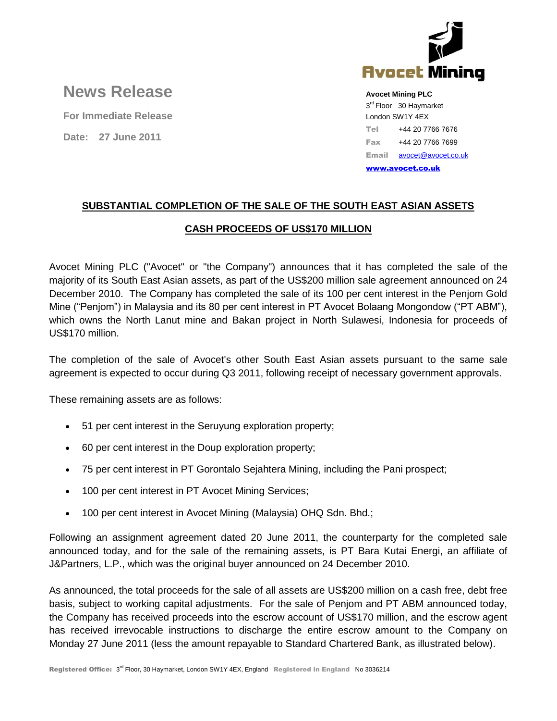

# **News Release**

**For Immediate Release**

**Date: 27 June 2011**

**Avocet Mining PLC** 3<sup>rd</sup> Floor 30 Haymarket London SW1Y 4EX Tel +44 20 7766 7676 Fax +44 20 7766 7699 Email [avocet@avocet.co.uk](mailto:avocet@avocet.co.uk)

[www.avocet.co.uk](http://www.avocet.co.uk/)

## **SUBSTANTIAL COMPLETION OF THE SALE OF THE SOUTH EAST ASIAN ASSETS**

## **CASH PROCEEDS OF US\$170 MILLION**

Avocet Mining PLC ("Avocet" or "the Company") announces that it has completed the sale of the majority of its South East Asian assets, as part of the US\$200 million sale agreement announced on 24 December 2010. The Company has completed the sale of its 100 per cent interest in the Penjom Gold Mine ("Penjom") in Malaysia and its 80 per cent interest in PT Avocet Bolaang Mongondow ("PT ABM"), which owns the North Lanut mine and Bakan project in North Sulawesi, Indonesia for proceeds of US\$170 million.

The completion of the sale of Avocet's other South East Asian assets pursuant to the same sale agreement is expected to occur during Q3 2011, following receipt of necessary government approvals.

These remaining assets are as follows:

- 51 per cent interest in the Seruyung exploration property;
- 60 per cent interest in the Doup exploration property;
- 75 per cent interest in PT Gorontalo Sejahtera Mining, including the Pani prospect;
- 100 per cent interest in PT Avocet Mining Services;
- 100 per cent interest in Avocet Mining (Malaysia) OHQ Sdn. Bhd.;

Following an assignment agreement dated 20 June 2011, the counterparty for the completed sale announced today, and for the sale of the remaining assets, is PT Bara Kutai Energi, an affiliate of J&Partners, L.P., which was the original buyer announced on 24 December 2010.

As announced, the total proceeds for the sale of all assets are US\$200 million on a cash free, debt free basis, subject to working capital adjustments. For the sale of Penjom and PT ABM announced today, the Company has received proceeds into the escrow account of US\$170 million, and the escrow agent has received irrevocable instructions to discharge the entire escrow amount to the Company on Monday 27 June 2011 (less the amount repayable to Standard Chartered Bank, as illustrated below).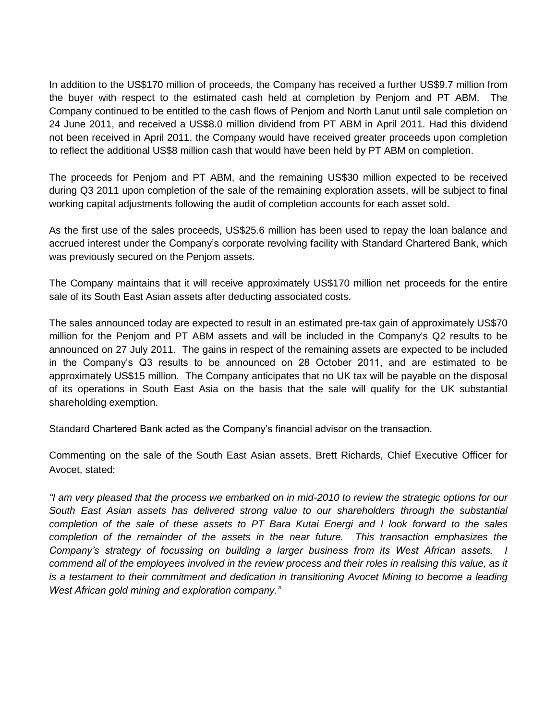In addition to the US\$170 million of proceeds, the Company has received a further US\$9.7 million from the buyer with respect to the estimated cash held at completion by Penjom and PT ABM. The Company continued to be entitled to the cash flows of Penjom and North Lanut until sale completion on 24 June 2011, and received a US\$8.0 million dividend from PT ABM in April 2011. Had this dividend not been received in April 2011, the Company would have received greater proceeds upon completion to reflect the additional US\$8 million cash that would have been held by PT ABM on completion.

The proceeds for Penjom and PT ABM, and the remaining US\$30 million expected to be received during Q3 2011 upon completion of the sale of the remaining exploration assets, will be subject to final working capital adjustments following the audit of completion accounts for each asset sold.

As the first use of the sales proceeds, US\$25.6 million has been used to repay the loan balance and accrued interest under the Company's corporate revolving facility with Standard Chartered Bank, which was previously secured on the Penjom assets.

The Company maintains that it will receive approximately US\$170 million net proceeds for the entire sale of its South East Asian assets after deducting associated costs.

The sales announced today are expected to result in an estimated pre-tax gain of approximately US\$70 million for the Penjom and PT ABM assets and will be included in the Company's Q2 results to be announced on 27 July 2011. The gains in respect of the remaining assets are expected to be included in the Company's Q3 results to be announced on 28 October 2011, and are estimated to be approximately US\$15 million. The Company anticipates that no UK tax will be payable on the disposal of its operations in South East Asia on the basis that the sale will qualify for the UK substantial shareholding exemption.

Standard Chartered Bank acted as the Company's financial advisor on the transaction.

Commenting on the sale of the South East Asian assets, Brett Richards, Chief Executive Officer for Avocet, stated:

*"I am very pleased that the process we embarked on in mid-2010 to review the strategic options for our South East Asian assets has delivered strong value to our shareholders through the substantial completion of the sale of these assets to PT Bara Kutai Energi and I look forward to the sales completion of the remainder of the assets in the near future. This transaction emphasizes the Company's strategy of focussing on building a larger business from its West African assets. I commend all of the employees involved in the review process and their roles in realising this value, as it is a testament to their commitment and dedication in transitioning Avocet Mining to become a leading West African gold mining and exploration company."*